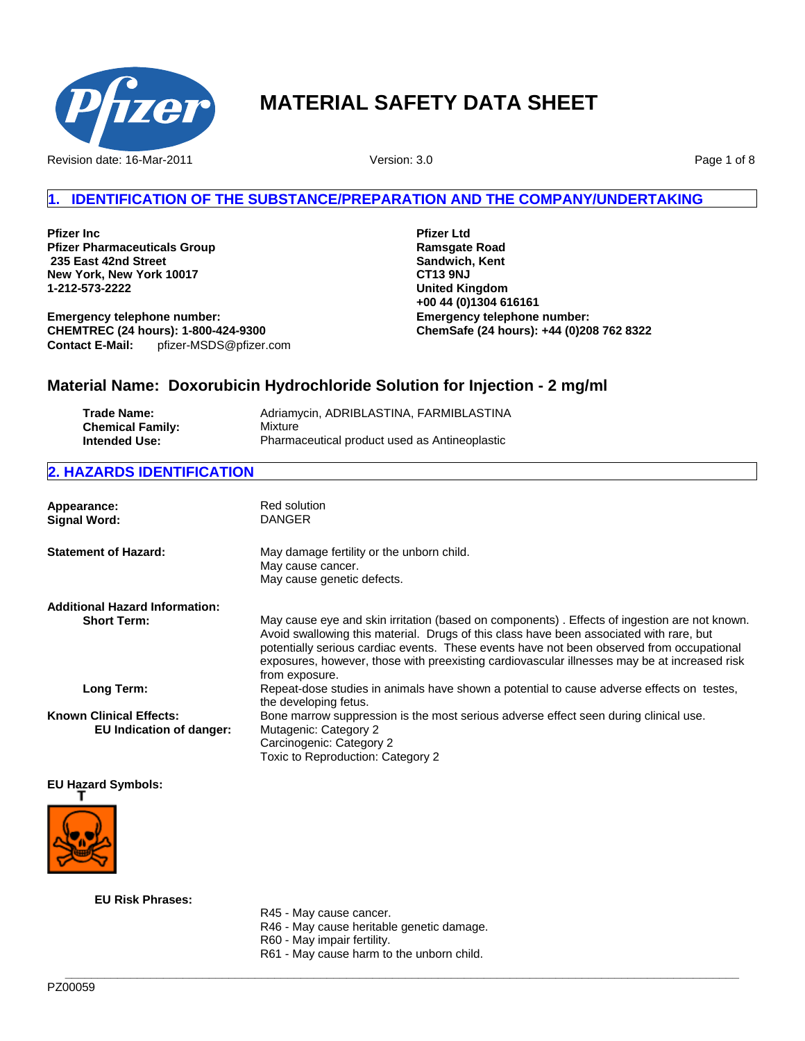

Revision date: 16-Mar-2011

Version: 3.0

Page 1 of 8

# **1. IDENTIFICATION OF THE SUBSTANCE/PREPARATION AND THE COMPANY/UNDERTAKING**

**Pfizer Inc Pfizer Pharmaceuticals Group 235 East 42nd Street New York, New York 10017 1-212-573-2222**

**Emergency telephone number: CHEMTREC (24 hours): 1-800-424-9300 Contact E-Mail:** pfizer-MSDS@pfizer.com **Pfizer Ltd Ramsgate Road Sandwich, Kent CT13 9NJ United Kingdom +00 44 (0)1304 616161 Emergency telephone number: ChemSafe (24 hours): +44 (0)208 762 8322**

# **Material Name: Doxorubicin Hydrochloride Solution for Injection - 2 mg/ml**

| Trade Name:             | Adriamycin, ADRIBLASTINA, FARMIBLASTINA       |
|-------------------------|-----------------------------------------------|
| <b>Chemical Family:</b> | Mixture                                       |
| Intended Use:           | Pharmaceutical product used as Antineoplastic |

# **2. HAZARDS IDENTIFICATION**

| Appearance:<br><b>Signal Word:</b>                         | Red solution<br><b>DANGER</b>                                                                                                                                                                                                                                                                                                                                                                          |
|------------------------------------------------------------|--------------------------------------------------------------------------------------------------------------------------------------------------------------------------------------------------------------------------------------------------------------------------------------------------------------------------------------------------------------------------------------------------------|
| <b>Statement of Hazard:</b>                                | May damage fertility or the unborn child.<br>May cause cancer.<br>May cause genetic defects.                                                                                                                                                                                                                                                                                                           |
| <b>Additional Hazard Information:</b>                      |                                                                                                                                                                                                                                                                                                                                                                                                        |
| <b>Short Term:</b>                                         | May cause eye and skin irritation (based on components). Effects of ingestion are not known.<br>Avoid swallowing this material. Drugs of this class have been associated with rare, but<br>potentially serious cardiac events. These events have not been observed from occupational<br>exposures, however, those with preexisting cardiovascular illnesses may be at increased risk<br>from exposure. |
| Long Term:                                                 | Repeat-dose studies in animals have shown a potential to cause adverse effects on testes,<br>the developing fetus.                                                                                                                                                                                                                                                                                     |
| <b>Known Clinical Effects:</b><br>EU Indication of danger: | Bone marrow suppression is the most serious adverse effect seen during clinical use.<br>Mutagenic: Category 2<br>Carcinogenic: Category 2<br>Toxic to Reproduction: Category 2                                                                                                                                                                                                                         |

### **EU Hazard Symbols:**



**EU Risk Phrases:**

R45 - May cause cancer.

- R46 May cause heritable genetic damage.
- R60 May impair fertility.
- R61 May cause harm to the unborn child.

**\_\_\_\_\_\_\_\_\_\_\_\_\_\_\_\_\_\_\_\_\_\_\_\_\_\_\_\_\_\_\_\_\_\_\_\_\_\_\_\_\_\_\_\_\_\_\_\_\_\_\_\_\_\_\_\_\_\_\_\_\_\_\_\_\_\_\_\_\_\_\_\_\_\_\_\_\_\_\_\_\_\_\_\_\_\_\_\_\_\_\_\_\_\_\_\_\_\_\_\_\_\_\_**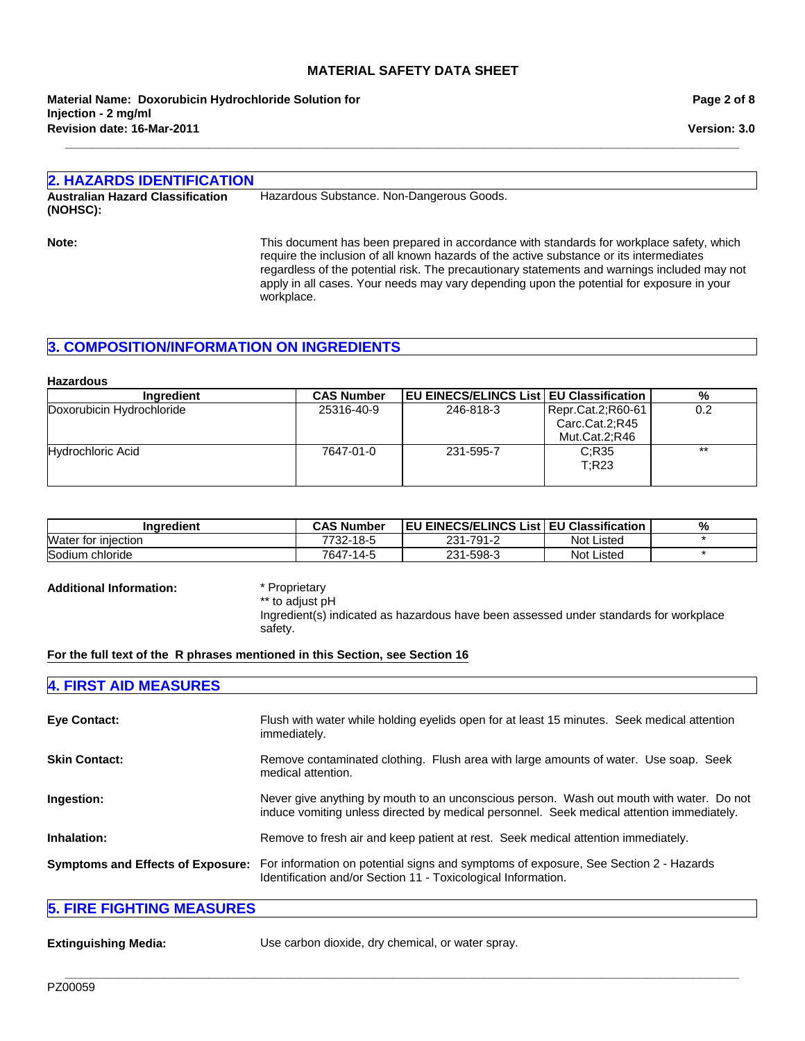**Revision date: 16-Mar-2011 Material Name: Doxorubicin Hydrochloride Solution for Injection - 2 mg/ml**

**Page 2 of 8**

**Version: 3.0**

# **2. HAZARDS IDENTIFICATION Australian Hazard Classification (NOHSC):** Hazardous Substance. Non-Dangerous Goods. **Note:** This document has been prepared in accordance with standards for workplace safety, which

**\_\_\_\_\_\_\_\_\_\_\_\_\_\_\_\_\_\_\_\_\_\_\_\_\_\_\_\_\_\_\_\_\_\_\_\_\_\_\_\_\_\_\_\_\_\_\_\_\_\_\_\_\_\_\_\_\_\_\_\_\_\_\_\_\_\_\_\_\_\_\_\_\_\_\_\_\_\_\_\_\_\_\_\_\_\_\_\_\_\_\_\_\_\_\_\_\_\_\_\_\_\_\_**

require the inclusion of all known hazards of the active substance or its intermediates regardless of the potential risk. The precautionary statements and warnings included may not apply in all cases. Your needs may vary depending upon the potential for exposure in your workplace.

# **3. COMPOSITION/INFORMATION ON INGREDIENTS**

#### **Hazardous Ingredient CAS Number | EU EINECS/ELINCS List | EU Classification | %** Doxorubicin Hydrochloride 25316-40-9 246-818-3 Repr.Cat.2;R60-61 Carc.Cat.2;R45 Mut.Cat.2;R46 0.2 Hydrochloric Acid 7647-01-0 231-595-7 C;R35 T;R23 \*\*

| <b>Inaredient</b>   | <b>CAS Number</b> | <b>EU EINECS/ELINCS List EU Classification</b> |                   | % |
|---------------------|-------------------|------------------------------------------------|-------------------|---|
| Water for injection | 7732-18-5         | 231-791-2                                      | <b>Not Listed</b> |   |
| Sodium chloride     | 7647-14-5         | 231-598-3                                      | <b>Not Listed</b> |   |

#### **Additional Information:** \* Proprietary

\*\* to adjust pH Ingredient(s) indicated as hazardous have been assessed under standards for workplace safety.

**For the full text of the R phrases mentioned in this Section, see Section 16**

# **4. FIRST AID MEASURES**

| <b>Eye Contact:</b>  | Flush with water while holding eyelids open for at least 15 minutes. Seek medical attention<br>immediately.                                                                             |
|----------------------|-----------------------------------------------------------------------------------------------------------------------------------------------------------------------------------------|
| <b>Skin Contact:</b> | Remove contaminated clothing. Flush area with large amounts of water. Use soap. Seek<br>medical attention.                                                                              |
| Ingestion:           | Never give anything by mouth to an unconscious person. Wash out mouth with water. Do not<br>induce vomiting unless directed by medical personnel. Seek medical attention immediately.   |
| Inhalation:          | Remove to fresh air and keep patient at rest. Seek medical attention immediately.                                                                                                       |
|                      | Symptoms and Effects of Exposure: For information on potential signs and symptoms of exposure, See Section 2 - Hazards<br>Identification and/or Section 11 - Toxicological Information. |

# **5. FIRE FIGHTING MEASURES**

**Extinguishing Media:** Use carbon dioxide, dry chemical, or water spray.

**\_\_\_\_\_\_\_\_\_\_\_\_\_\_\_\_\_\_\_\_\_\_\_\_\_\_\_\_\_\_\_\_\_\_\_\_\_\_\_\_\_\_\_\_\_\_\_\_\_\_\_\_\_\_\_\_\_\_\_\_\_\_\_\_\_\_\_\_\_\_\_\_\_\_\_\_\_\_\_\_\_\_\_\_\_\_\_\_\_\_\_\_\_\_\_\_\_\_\_\_\_\_\_**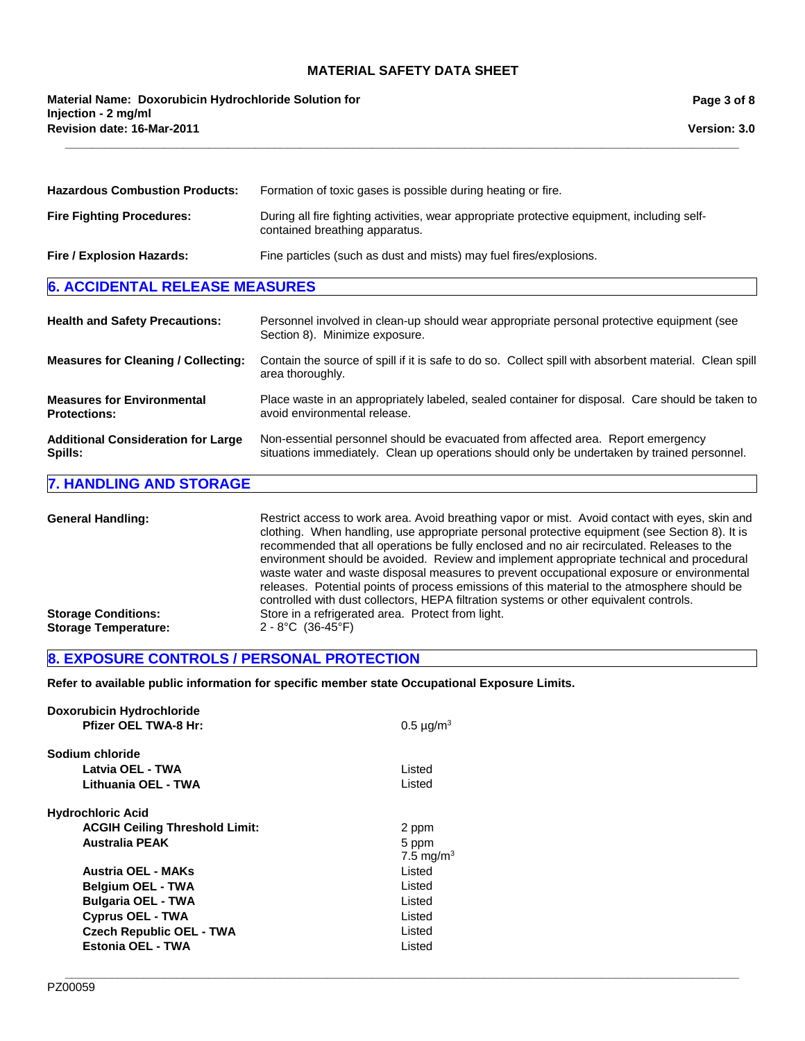**\_\_\_\_\_\_\_\_\_\_\_\_\_\_\_\_\_\_\_\_\_\_\_\_\_\_\_\_\_\_\_\_\_\_\_\_\_\_\_\_\_\_\_\_\_\_\_\_\_\_\_\_\_\_\_\_\_\_\_\_\_\_\_\_\_\_\_\_\_\_\_\_\_\_\_\_\_\_\_\_\_\_\_\_\_\_\_\_\_\_\_\_\_\_\_\_\_\_\_\_\_\_\_**

**Revision date: 16-Mar-2011 Material Name: Doxorubicin Hydrochloride Solution for Injection - 2 mg/ml**

**Page 3 of 8**

**Version: 3.0**

| <b>Hazardous Combustion Products:</b>                    | Formation of toxic gases is possible during heating or fire.                                                                                                                    |  |
|----------------------------------------------------------|---------------------------------------------------------------------------------------------------------------------------------------------------------------------------------|--|
| <b>Fire Fighting Procedures:</b>                         | During all fire fighting activities, wear appropriate protective equipment, including self-<br>contained breathing apparatus.                                                   |  |
| Fire / Explosion Hazards:                                | Fine particles (such as dust and mists) may fuel fires/explosions.                                                                                                              |  |
| <b>6. ACCIDENTAL RELEASE MEASURES</b>                    |                                                                                                                                                                                 |  |
| <b>Health and Safety Precautions:</b>                    | Personnel involved in clean-up should wear appropriate personal protective equipment (see<br>Section 8). Minimize exposure.                                                     |  |
| <b>Measures for Cleaning / Collecting:</b>               | Contain the source of spill if it is safe to do so. Collect spill with absorbent material. Clean spill<br>area thoroughly.                                                      |  |
| <b>Measures for Environmental</b><br><b>Protections:</b> | Place waste in an appropriately labeled, sealed container for disposal. Care should be taken to<br>avoid environmental release.                                                 |  |
| <b>Additional Consideration for Large</b><br>Spills:     | Non-essential personnel should be evacuated from affected area. Report emergency<br>situations immediately. Clean up operations should only be undertaken by trained personnel. |  |

### **7. HANDLING AND STORAGE**

General Handling: Restrict access to work area. Avoid breathing vapor or mist. Avoid contact with eyes, skin and clothing. When handling, use appropriate personal protective equipment (see Section 8). It is recommended that all operations be fully enclosed and no air recirculated. Releases to the environment should be avoided. Review and implement appropriate technical and procedural waste water and waste disposal measures to prevent occupational exposure or environmental releases. Potential points of process emissions of this material to the atmosphere should be controlled with dust collectors, HEPA filtration systems or other equivalent controls. **Storage Conditions:** Store in a refrigerated area. Protect from light.<br> **Storage Temperature:** 2 - 8°C (36-45°F) **Storage Temperature:** 

**\_\_\_\_\_\_\_\_\_\_\_\_\_\_\_\_\_\_\_\_\_\_\_\_\_\_\_\_\_\_\_\_\_\_\_\_\_\_\_\_\_\_\_\_\_\_\_\_\_\_\_\_\_\_\_\_\_\_\_\_\_\_\_\_\_\_\_\_\_\_\_\_\_\_\_\_\_\_\_\_\_\_\_\_\_\_\_\_\_\_\_\_\_\_\_\_\_\_\_\_\_\_\_**

### **8. EXPOSURE CONTROLS / PERSONAL PROTECTION**

**Refer to available public information for specific member state Occupational Exposure Limits.**

| <b>Doxorubicin Hydrochloride</b>      |                       |
|---------------------------------------|-----------------------|
| <b>Pfizer OEL TWA-8 Hr:</b>           | $0.5 \mu g/m^3$       |
| Sodium chloride                       |                       |
| Latvia OEL - TWA                      | Listed                |
| Lithuania OEL - TWA                   | Listed                |
| <b>Hydrochloric Acid</b>              |                       |
| <b>ACGIH Ceiling Threshold Limit:</b> | 2 ppm                 |
| <b>Australia PEAK</b>                 | 5 ppm                 |
|                                       | 7.5 mg/m <sup>3</sup> |
| Austria OEL - MAKs                    | Listed                |
| <b>Belgium OEL - TWA</b>              | Listed                |
| <b>Bulgaria OEL - TWA</b>             | Listed                |
| <b>Cyprus OEL - TWA</b>               | Listed                |
| <b>Czech Republic OEL - TWA</b>       | Listed                |
| Estonia OEL - TWA                     | Listed                |
|                                       |                       |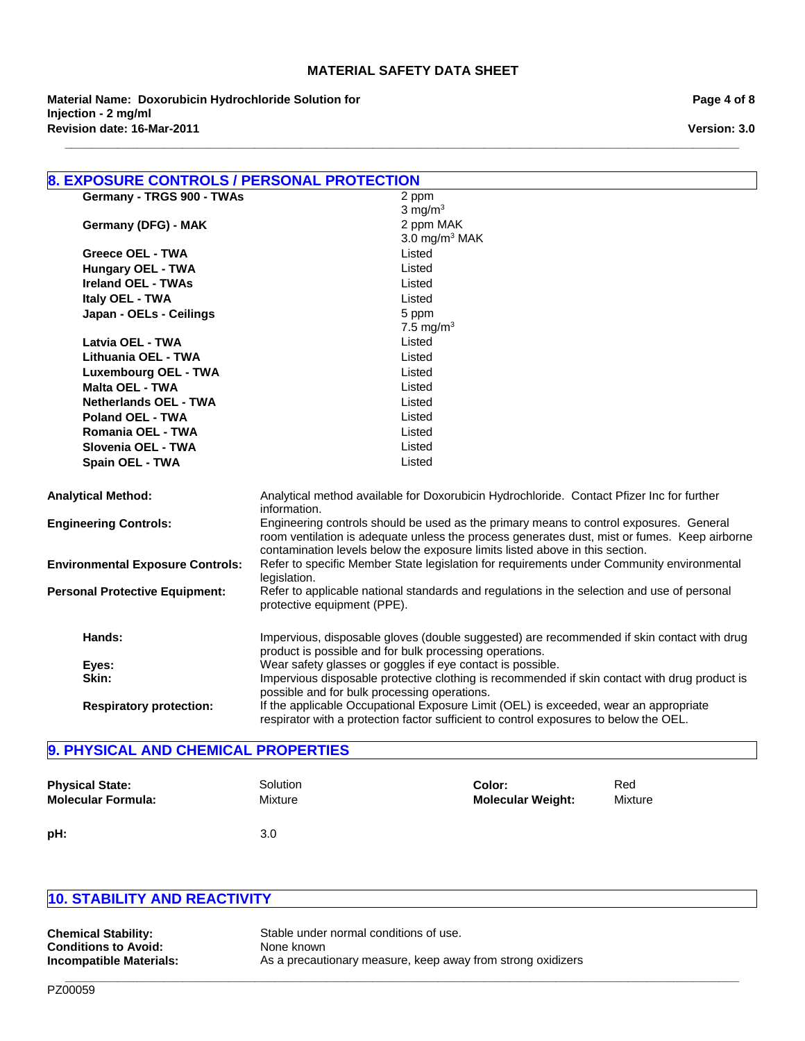**\_\_\_\_\_\_\_\_\_\_\_\_\_\_\_\_\_\_\_\_\_\_\_\_\_\_\_\_\_\_\_\_\_\_\_\_\_\_\_\_\_\_\_\_\_\_\_\_\_\_\_\_\_\_\_\_\_\_\_\_\_\_\_\_\_\_\_\_\_\_\_\_\_\_\_\_\_\_\_\_\_\_\_\_\_\_\_\_\_\_\_\_\_\_\_\_\_\_\_\_\_\_\_**

**Revision date: 16-Mar-2011 Material Name: Doxorubicin Hydrochloride Solution for Injection - 2 mg/ml**

|                                         | 8. EXPOSURE CONTROLS / PERSONAL PROTECTION                                                                                                                                                                                                                             |  |  |  |
|-----------------------------------------|------------------------------------------------------------------------------------------------------------------------------------------------------------------------------------------------------------------------------------------------------------------------|--|--|--|
| Germany - TRGS 900 - TWAs               | 2 ppm                                                                                                                                                                                                                                                                  |  |  |  |
|                                         | $3$ mg/m <sup>3</sup>                                                                                                                                                                                                                                                  |  |  |  |
| Germany (DFG) - MAK                     | 2 ppm MAK                                                                                                                                                                                                                                                              |  |  |  |
|                                         | 3.0 mg/m $3$ MAK                                                                                                                                                                                                                                                       |  |  |  |
| Greece OEL - TWA                        | Listed                                                                                                                                                                                                                                                                 |  |  |  |
| <b>Hungary OEL - TWA</b>                | Listed                                                                                                                                                                                                                                                                 |  |  |  |
| <b>Ireland OEL - TWAs</b>               | Listed                                                                                                                                                                                                                                                                 |  |  |  |
| Italy OEL - TWA                         | Listed                                                                                                                                                                                                                                                                 |  |  |  |
| Japan - OELs - Ceilings                 | 5 ppm                                                                                                                                                                                                                                                                  |  |  |  |
|                                         | 7.5 mg/m <sup>3</sup>                                                                                                                                                                                                                                                  |  |  |  |
| Latvia OEL - TWA                        | Listed                                                                                                                                                                                                                                                                 |  |  |  |
| Lithuania OEL - TWA                     | Listed                                                                                                                                                                                                                                                                 |  |  |  |
| <b>Luxembourg OEL - TWA</b>             | Listed                                                                                                                                                                                                                                                                 |  |  |  |
| <b>Malta OEL - TWA</b>                  | Listed                                                                                                                                                                                                                                                                 |  |  |  |
| <b>Netherlands OEL - TWA</b>            | Listed                                                                                                                                                                                                                                                                 |  |  |  |
| Poland OEL - TWA                        | Listed                                                                                                                                                                                                                                                                 |  |  |  |
| Romania OEL - TWA                       | Listed                                                                                                                                                                                                                                                                 |  |  |  |
| Slovenia OEL - TWA                      | Listed                                                                                                                                                                                                                                                                 |  |  |  |
| Spain OEL - TWA                         | Listed                                                                                                                                                                                                                                                                 |  |  |  |
| <b>Analytical Method:</b>               | Analytical method available for Doxorubicin Hydrochloride. Contact Pfizer Inc for further<br>information.                                                                                                                                                              |  |  |  |
| <b>Engineering Controls:</b>            | Engineering controls should be used as the primary means to control exposures. General<br>room ventilation is adequate unless the process generates dust, mist or fumes. Keep airborne<br>contamination levels below the exposure limits listed above in this section. |  |  |  |
| <b>Environmental Exposure Controls:</b> | Refer to specific Member State legislation for requirements under Community environmental<br>legislation.                                                                                                                                                              |  |  |  |
| <b>Personal Protective Equipment:</b>   | Refer to applicable national standards and regulations in the selection and use of personal<br>protective equipment (PPE).                                                                                                                                             |  |  |  |
| Hands:                                  | Impervious, disposable gloves (double suggested) are recommended if skin contact with drug<br>product is possible and for bulk processing operations.                                                                                                                  |  |  |  |
| Eyes:                                   | Wear safety glasses or goggles if eye contact is possible.                                                                                                                                                                                                             |  |  |  |
| Skin:                                   | Impervious disposable protective clothing is recommended if skin contact with drug product is<br>possible and for bulk processing operations.                                                                                                                          |  |  |  |
| <b>Respiratory protection:</b>          | If the applicable Occupational Exposure Limit (OEL) is exceeded, wear an appropriate<br>respirator with a protection factor sufficient to control exposures to below the OEL.                                                                                          |  |  |  |

# **9. PHYSICAL AND CHEMICAL PROPERTIES**

| <b>Physical State:</b>    | Solution         | Color:                   | Red     |
|---------------------------|------------------|--------------------------|---------|
| <b>Molecular Formula:</b> | Mixture          | <b>Molecular Weight:</b> | Mixture |
| pH:                       | 3.0 <sub>2</sub> |                          |         |

**\_\_\_\_\_\_\_\_\_\_\_\_\_\_\_\_\_\_\_\_\_\_\_\_\_\_\_\_\_\_\_\_\_\_\_\_\_\_\_\_\_\_\_\_\_\_\_\_\_\_\_\_\_\_\_\_\_\_\_\_\_\_\_\_\_\_\_\_\_\_\_\_\_\_\_\_\_\_\_\_\_\_\_\_\_\_\_\_\_\_\_\_\_\_\_\_\_\_\_\_\_\_\_**

# **10. STABILITY AND REACTIVITY**

| <b>Chemical Stability:</b>  | Stable under normal conditions of use.                      |
|-----------------------------|-------------------------------------------------------------|
| <b>Conditions to Avoid:</b> | None known                                                  |
| Incompatible Materials:     | As a precautionary measure, keep away from strong oxidizers |

**Page 4 of 8**

**Version: 3.0**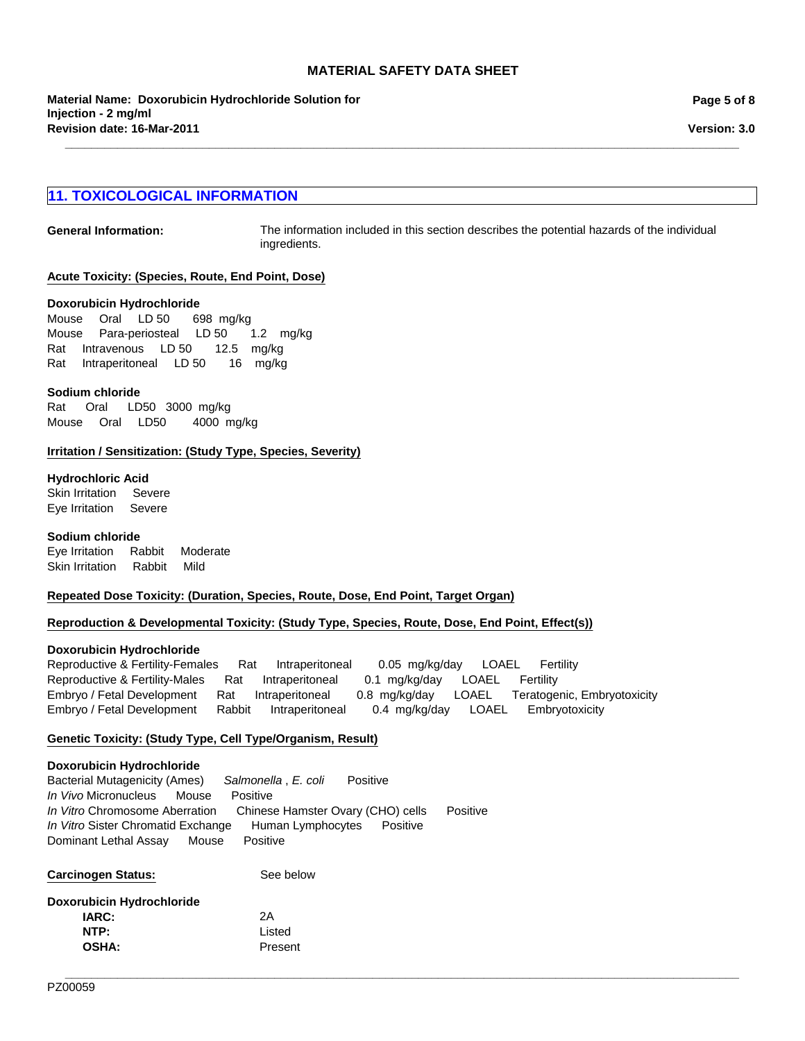**\_\_\_\_\_\_\_\_\_\_\_\_\_\_\_\_\_\_\_\_\_\_\_\_\_\_\_\_\_\_\_\_\_\_\_\_\_\_\_\_\_\_\_\_\_\_\_\_\_\_\_\_\_\_\_\_\_\_\_\_\_\_\_\_\_\_\_\_\_\_\_\_\_\_\_\_\_\_\_\_\_\_\_\_\_\_\_\_\_\_\_\_\_\_\_\_\_\_\_\_\_\_\_**

#### **Page 5 of 8**

# **11. TOXICOLOGICAL INFORMATION**

**General Information:** The information included in this section describes the potential hazards of the individual ingredients.

#### **Acute Toxicity: (Species, Route, End Point, Dose)**

#### **Doxorubicin Hydrochloride**

MousePara-periostealLD 501.2 mg/kg RatIntravenousLD 5012.5 mg/kg RatIntraperitonealLD 5016 mg/kg MouseOralLD 50698mg/kg

#### **Sodium chloride**

Rat Oral LD50 3000mg/kg MouseOralLD50 4000mg/kg

#### **Irritation / Sensitization: (Study Type, Species, Severity)**

#### **Hydrochloric Acid**

Skin IrritationSevere Eye IrritationSevere

#### **Sodium chloride**

Eye IrritationRabbitModerate Skin IrritationRabbitMild

#### **Repeated Dose Toxicity: (Duration, Species, Route, Dose, End Point, Target Organ)**

#### **Reproduction & Developmental Toxicity: (Study Type, Species, Route, Dose, End Point, Effect(s))**

#### **Doxorubicin Hydrochloride**

Reproductive & Fertility-MalesRatIntraperitoneal0.1mg/kg/dayLOAELFertility Embryo / Fetal DevelopmentRatIntraperitoneal0.8mg/kg/dayLOAELTeratogenic, Embryotoxicity Embryo / Fetal DevelopmentRabbitIntraperitoneal0.4mg/kg/dayLOAELEmbryotoxicity Reproductive & Fertility-FemalesRatIntraperitoneal0.05mg/kg/dayLOAELFertility

**\_\_\_\_\_\_\_\_\_\_\_\_\_\_\_\_\_\_\_\_\_\_\_\_\_\_\_\_\_\_\_\_\_\_\_\_\_\_\_\_\_\_\_\_\_\_\_\_\_\_\_\_\_\_\_\_\_\_\_\_\_\_\_\_\_\_\_\_\_\_\_\_\_\_\_\_\_\_\_\_\_\_\_\_\_\_\_\_\_\_\_\_\_\_\_\_\_\_\_\_\_\_\_**

#### **Genetic Toxicity: (Study Type, Cell Type/Organism, Result)**

#### **Doxorubicin Hydrochloride**

Bacterial Mutagenicity (Ames)*Salmonella* , *E. coli* Positive *In Vivo* MicronucleusMousePositive *In Vitro* Chromosome AberrationChinese Hamster Ovary (CHO) cellsPositive *In Vitro* Sister Chromatid ExchangeHuman LymphocytesPositive Dominant Lethal AssayMousePositive

Carcinogen Status: See below

| <b>IARC:</b> | 2A      |
|--------------|---------|
| NTP:         | Listed  |
| <b>OSHA:</b> | Present |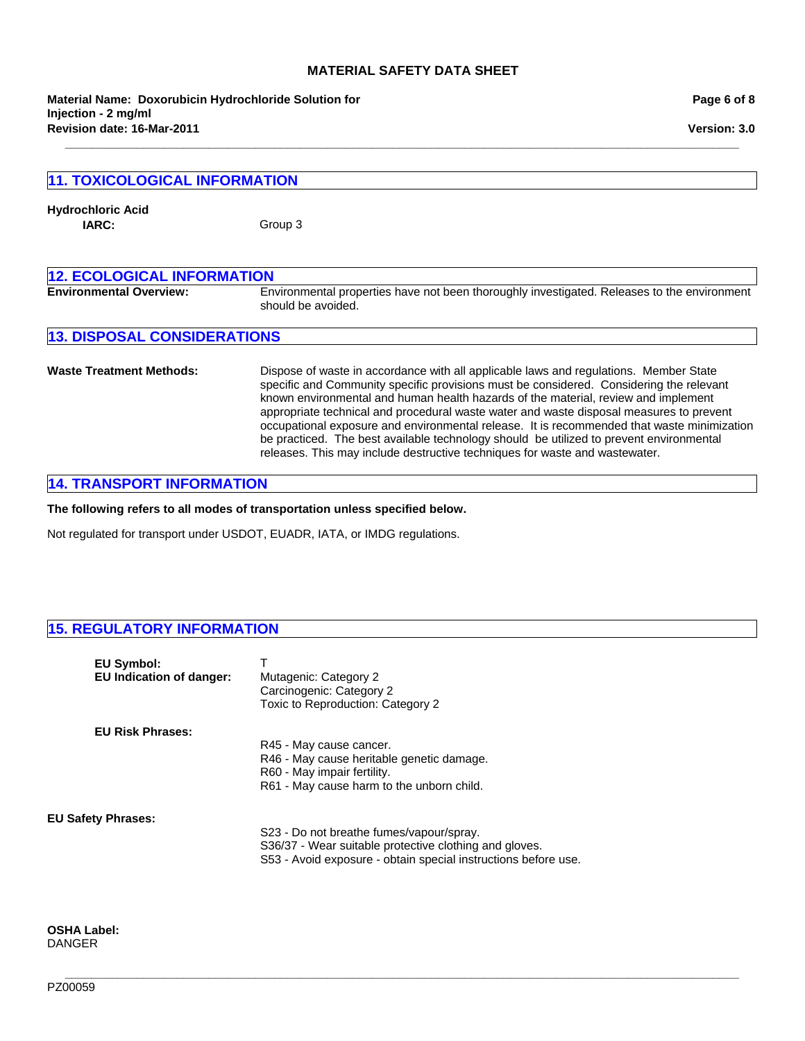**\_\_\_\_\_\_\_\_\_\_\_\_\_\_\_\_\_\_\_\_\_\_\_\_\_\_\_\_\_\_\_\_\_\_\_\_\_\_\_\_\_\_\_\_\_\_\_\_\_\_\_\_\_\_\_\_\_\_\_\_\_\_\_\_\_\_\_\_\_\_\_\_\_\_\_\_\_\_\_\_\_\_\_\_\_\_\_\_\_\_\_\_\_\_\_\_\_\_\_\_\_\_\_**

**Revision date: 16-Mar-2011 Material Name: Doxorubicin Hydrochloride Solution for Injection - 2 mg/ml**

| Page 6 of 8 |  |  |  |
|-------------|--|--|--|
|-------------|--|--|--|

**Version: 3.0**

| <b>11. TOXICOLOGICAL INFORMATION</b> |                                                                                                                                                                                                                                                                                                                                                                                                                                                                                                                                                                                                                                           |  |
|--------------------------------------|-------------------------------------------------------------------------------------------------------------------------------------------------------------------------------------------------------------------------------------------------------------------------------------------------------------------------------------------------------------------------------------------------------------------------------------------------------------------------------------------------------------------------------------------------------------------------------------------------------------------------------------------|--|
| <b>Hydrochloric Acid</b><br>IARC:    | Group 3                                                                                                                                                                                                                                                                                                                                                                                                                                                                                                                                                                                                                                   |  |
| <b>12. ECOLOGICAL INFORMATION</b>    |                                                                                                                                                                                                                                                                                                                                                                                                                                                                                                                                                                                                                                           |  |
| <b>Environmental Overview:</b>       | Environmental properties have not been thoroughly investigated. Releases to the environment<br>should be avoided.                                                                                                                                                                                                                                                                                                                                                                                                                                                                                                                         |  |
| <b>13. DISPOSAL CONSIDERATIONS</b>   |                                                                                                                                                                                                                                                                                                                                                                                                                                                                                                                                                                                                                                           |  |
| <b>Waste Treatment Methods:</b>      | Dispose of waste in accordance with all applicable laws and regulations. Member State<br>specific and Community specific provisions must be considered. Considering the relevant<br>known environmental and human health hazards of the material, review and implement<br>appropriate technical and procedural waste water and waste disposal measures to prevent<br>occupational exposure and environmental release. It is recommended that waste minimization<br>be practiced. The best available technology should be utilized to prevent environmental<br>releases. This may include destructive techniques for waste and wastewater. |  |

# **14. TRANSPORT INFORMATION**

**The following refers to all modes of transportation unless specified below.**

Not regulated for transport under USDOT, EUADR, IATA, or IMDG regulations.

# **15. REGULATORY INFORMATION**

| <b>EU Symbol:</b><br><b>EU Indication of danger:</b> | Mutagenic: Category 2<br>Carcinogenic: Category 2<br>Toxic to Reproduction: Category 2                                                                               |
|------------------------------------------------------|----------------------------------------------------------------------------------------------------------------------------------------------------------------------|
| <b>EU Risk Phrases:</b>                              | R45 - May cause cancer.<br>R46 - May cause heritable genetic damage.<br>R60 - May impair fertility.<br>R61 - May cause harm to the unborn child.                     |
| <b>EU Safety Phrases:</b>                            | S23 - Do not breathe fumes/vapour/spray.<br>S36/37 - Wear suitable protective clothing and gloves.<br>S53 - Avoid exposure - obtain special instructions before use. |

**\_\_\_\_\_\_\_\_\_\_\_\_\_\_\_\_\_\_\_\_\_\_\_\_\_\_\_\_\_\_\_\_\_\_\_\_\_\_\_\_\_\_\_\_\_\_\_\_\_\_\_\_\_\_\_\_\_\_\_\_\_\_\_\_\_\_\_\_\_\_\_\_\_\_\_\_\_\_\_\_\_\_\_\_\_\_\_\_\_\_\_\_\_\_\_\_\_\_\_\_\_\_\_**

**OSHA Label:** DANGER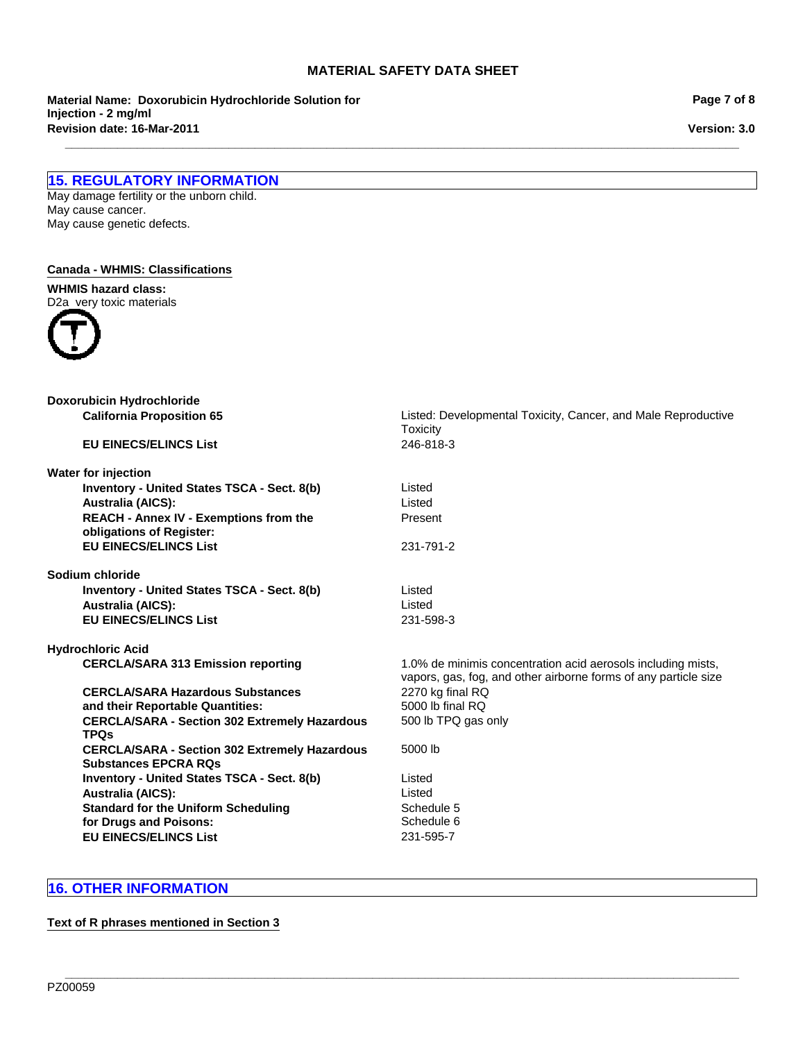**\_\_\_\_\_\_\_\_\_\_\_\_\_\_\_\_\_\_\_\_\_\_\_\_\_\_\_\_\_\_\_\_\_\_\_\_\_\_\_\_\_\_\_\_\_\_\_\_\_\_\_\_\_\_\_\_\_\_\_\_\_\_\_\_\_\_\_\_\_\_\_\_\_\_\_\_\_\_\_\_\_\_\_\_\_\_\_\_\_\_\_\_\_\_\_\_\_\_\_\_\_\_\_**

**Revision date: 16-Mar-2011 Material Name: Doxorubicin Hydrochloride Solution for Injection - 2 mg/ml**

**Page 7 of 8**

**Version: 3.0**

# **15. REGULATORY INFORMATION**

May damage fertility or the unborn child. May cause cancer. May cause genetic defects.

### **Canada - WHMIS: Classifications**

**WHMIS hazard class:** D2a very toxic materials



| Doxorubicin Hydrochloride                                                           |                                                                                                                                 |
|-------------------------------------------------------------------------------------|---------------------------------------------------------------------------------------------------------------------------------|
| <b>California Proposition 65</b>                                                    | Listed: Developmental Toxicity, Cancer, and Male Reproductive<br><b>Toxicity</b>                                                |
| <b>EU EINECS/ELINCS List</b>                                                        | 246-818-3                                                                                                                       |
| Water for injection                                                                 |                                                                                                                                 |
| Inventory - United States TSCA - Sect. 8(b)<br><b>Australia (AICS):</b>             | Listed<br>Listed                                                                                                                |
| <b>REACH - Annex IV - Exemptions from the</b><br>obligations of Register:           | Present                                                                                                                         |
| <b>EU EINECS/ELINCS List</b>                                                        | 231-791-2                                                                                                                       |
| Sodium chloride                                                                     |                                                                                                                                 |
| Inventory - United States TSCA - Sect. 8(b)                                         | Listed                                                                                                                          |
| <b>Australia (AICS):</b>                                                            | Listed                                                                                                                          |
| <b>EU EINECS/ELINCS List</b>                                                        | 231-598-3                                                                                                                       |
| <b>Hydrochloric Acid</b>                                                            |                                                                                                                                 |
| <b>CERCLA/SARA 313 Emission reporting</b>                                           | 1.0% de minimis concentration acid aerosols including mists,<br>vapors, gas, fog, and other airborne forms of any particle size |
| <b>CERCLA/SARA Hazardous Substances</b>                                             | 2270 kg final RQ                                                                                                                |
| and their Reportable Quantities:                                                    | 5000 lb final RQ                                                                                                                |
| <b>CERCLA/SARA - Section 302 Extremely Hazardous</b><br><b>TPQs</b>                 | 500 lb TPQ gas only                                                                                                             |
| <b>CERCLA/SARA - Section 302 Extremely Hazardous</b><br><b>Substances EPCRA ROs</b> | 5000 lb                                                                                                                         |
| <b>Inventory - United States TSCA - Sect. 8(b)</b>                                  | Listed                                                                                                                          |
| <b>Australia (AICS):</b>                                                            | Listed                                                                                                                          |
| <b>Standard for the Uniform Scheduling</b>                                          | Schedule 5                                                                                                                      |
| for Drugs and Poisons:                                                              | Schedule 6                                                                                                                      |
| <b>EU EINECS/ELINCS List</b>                                                        | 231-595-7                                                                                                                       |
|                                                                                     |                                                                                                                                 |

**\_\_\_\_\_\_\_\_\_\_\_\_\_\_\_\_\_\_\_\_\_\_\_\_\_\_\_\_\_\_\_\_\_\_\_\_\_\_\_\_\_\_\_\_\_\_\_\_\_\_\_\_\_\_\_\_\_\_\_\_\_\_\_\_\_\_\_\_\_\_\_\_\_\_\_\_\_\_\_\_\_\_\_\_\_\_\_\_\_\_\_\_\_\_\_\_\_\_\_\_\_\_\_**

# **16. OTHER INFORMATION**

#### **Text of R phrases mentioned in Section 3**